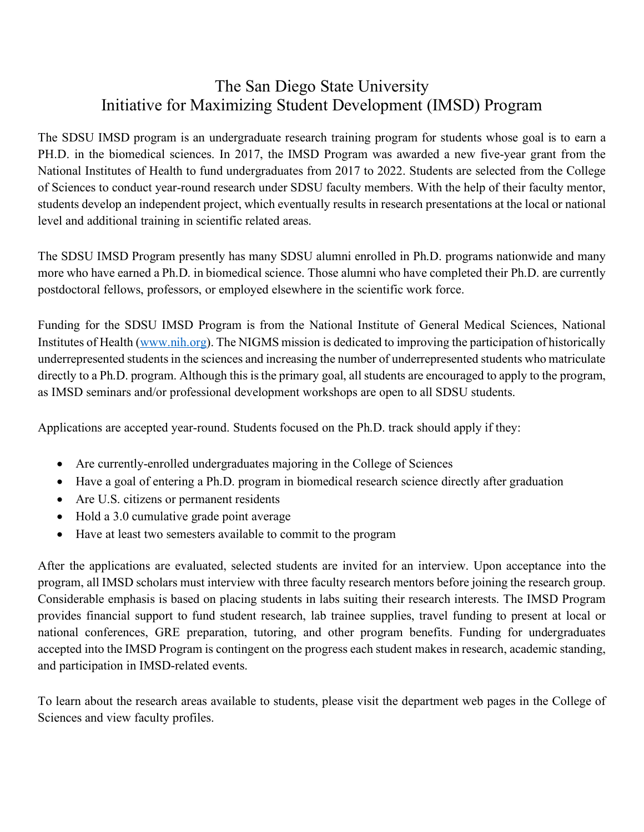## The San Diego State University Initiative for Maximizing Student Development (IMSD) Program

The SDSU IMSD program is an undergraduate research training program for students whose goal is to earn a PH.D. in the biomedical sciences. In 2017, the IMSD Program was awarded a new five-year grant from the National Institutes of Health to fund undergraduates from 2017 to 2022. Students are selected from the College of Sciences to conduct year-round research under SDSU faculty members. With the help of their faculty mentor, students develop an independent project, which eventually results in research presentations at the local or national level and additional training in scientific related areas.

The SDSU IMSD Program presently has many SDSU alumni enrolled in Ph.D. programs nationwide and many more who have earned a Ph.D. in biomedical science. Those alumni who have completed their Ph.D. are currently postdoctoral fellows, professors, or employed elsewhere in the scientific work force.

Funding for the SDSU IMSD Program is from the National Institute of General Medical Sciences, National Institutes of Health (www.nih.org). The NIGMS mission is dedicated to improving the participation of historically underrepresented students in the sciences and increasing the number of underrepresented students who matriculate directly to a Ph.D. program. Although this is the primary goal, all students are encouraged to apply to the program, as IMSD seminars and/or professional development workshops are open to all SDSU students.

Applications are accepted year-round. Students focused on the Ph.D. track should apply if they:

- Are currently-enrolled undergraduates majoring in the College of Sciences
- Have a goal of entering a Ph.D. program in biomedical research science directly after graduation
- Are U.S. citizens or permanent residents
- Hold a 3.0 cumulative grade point average
- Have at least two semesters available to commit to the program

After the applications are evaluated, selected students are invited for an interview. Upon acceptance into the program, all IMSD scholars must interview with three faculty research mentors before joining the research group. Considerable emphasis is based on placing students in labs suiting their research interests. The IMSD Program provides financial support to fund student research, lab trainee supplies, travel funding to present at local or national conferences, GRE preparation, tutoring, and other program benefits. Funding for undergraduates accepted into the IMSD Program is contingent on the progress each student makes in research, academic standing, and participation in IMSD-related events.

To learn about the research areas available to students, please visit the department web pages in the College of Sciences and view faculty profiles.